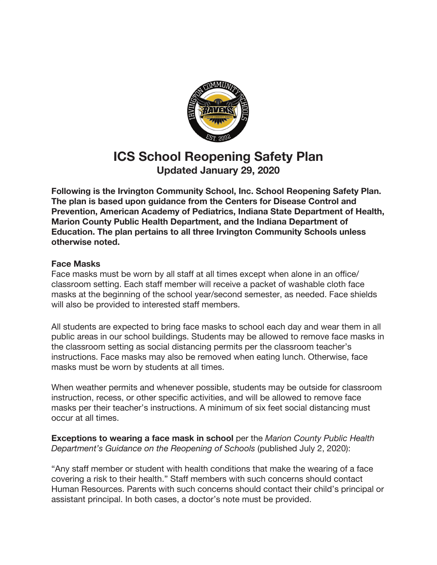

# **ICS School Reopening Safety Plan Updated January 29, 2020**

**Following is the Irvington Community School, Inc. School Reopening Safety Plan. The plan is based upon guidance from the Centers for Disease Control and Prevention, American Academy of Pediatrics, Indiana State Department of Health, Marion County Public Health Department, and the Indiana Department of Education. The plan pertains to all three Irvington Community Schools unless otherwise noted.**

## **Face Masksbb**

Face masks must be worn by all staff at all times except when alone in an office/ classroom setting. Each staff member will receive a packet of washable cloth face masks at the beginning of the school year/second semester, as needed. Face shields will also be provided to interested staff members.

All students are expected to bring face masks to school each day and wear them in all public areas in our school buildings. Students may be allowed to remove face masks in the classroom setting as social distancing permits per the classroom teacher's instructions. Face masks may also be removed when eating lunch. Otherwise, face masks must be worn by students at all times.

When weather permits and whenever possible, students may be outside for classroom instruction, recess, or other specific activities, and will be allowed to remove face masks per their teacher's instructions. A minimum of six feet social distancing must occur at all times.bb

**Exceptions to wearing a face mask in school** per the *Marion County Public Health Department's Guidance on the Reopening of Schools* (published July 2, 2020):

"Any staff member or student with health conditions that make the wearing of a face covering a risk to their health." Staff members with such concerns should contact Human Resources. Parents with such concerns should contact their child's principal or assistant principal. In both cases, a doctor's note must be provided.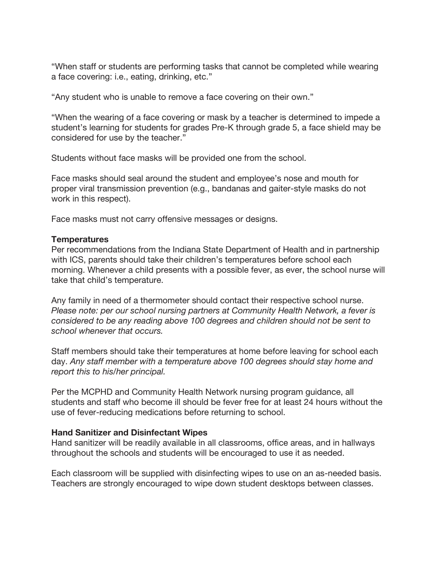"When staff or students are performing tasks that cannot be completed while wearing a face covering: i.e., eating, drinking, etc."

"Any student who is unable to remove a face covering on their own."

"When the wearing of a face covering or mask by a teacher is determined to impede a student's learning for students for grades Pre-K through grade 5, a face shield may be considered for use by the teacher."

Students without face masks will be provided one from the school.

Face masks should seal around the student and employee's nose and mouth for proper viral transmission prevention (e.g., bandanas and gaiter-style masks do not work in this respect).

Face masks must not carry offensive messages or designs.

#### **Temperatures**

Per recommendations from the Indiana State Department of Health and in partnership with ICS, parents should take their children's temperatures before school each morning. Whenever a child presents with a possible fever, as ever, the school nurse will take that child's temperature.

Any family in need of a thermometer should contact their respective school nurse. *Please note: per our school nursing partners at Community Health Network, a fever is considered to be any reading above 100 degrees and children should not be sent to school whenever that occurs.*

Staff members should take their temperatures at home before leaving for school each day. *Any staff member with a temperature above 100 degrees should stay home and report this to his/her principal.*

Per the MCPHD and Community Health Network nursing program guidance, all students and staff who become ill should be fever free for at least 24 hours without the use of fever-reducing medications before returning to school.

#### **Hand Sanitizer and Disinfectant Wipes**

Hand sanitizer will be readily available in all classrooms, office areas, and in hallways throughout the schools and students will be encouraged to use it as needed.

Each classroom will be supplied with disinfecting wipes to use on an as-needed basis. Teachers are strongly encouraged to wipe down student desktops between classes.bb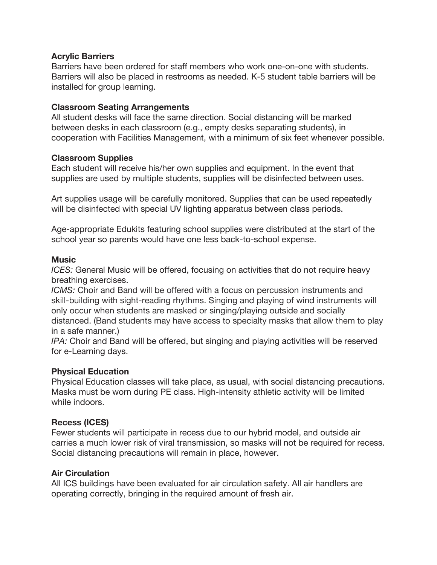#### **Acrylic Barriers**

Barriers have been ordered for staff members who work one-on-one with students. Barriers will also be placed in restrooms as needed. K-5 student table barriers will be installed for group learning.

## **Classroom Seating Arrangements**

All student desks will face the same direction. Social distancing will be marked between desks in each classroom (e.g., empty desks separating students), in cooperation with Facilities Management, with a minimum of six feet whenever possible.

#### **Classroom Supplies**

Each student will receive his/her own supplies and equipment. In the event that supplies are used by multiple students, supplies will be disinfected between uses.

Art supplies usage will be carefully monitored. Supplies that can be used repeatedly will be disinfected with special UV lighting apparatus between class periods.

Age-appropriate Edukits featuring school supplies were distributed at the start of the school year so parents would have one less back-to-school expense.

#### **Music**

*ICES:* General Music will be offered, focusing on activities that do not require heavy breathing exercises.

*ICMS:* Choir and Band will be offered with a focus on percussion instruments and skill-building with sight-reading rhythms. Singing and playing of wind instruments will only occur when students are masked or singing/playing outside and socially distanced. (Band students may have access to specialty masks that allow them to play in a safe manner.)

*IPA:* Choir and Band will be offered, but singing and playing activities will be reserved for e-Learning days.

# **Physical Education**

Physical Education classes will take place, as usual, with social distancing precautions. Masks must be worn during PE class. High-intensity athletic activity will be limited while indoors.

# **Recess (ICES)**

Fewer students will participate in recess due to our hybrid model, and outside air carries a much lower risk of viral transmission, so masks will not be required for recess. Social distancing precautions will remain in place, however.

#### **Air Circulation**

All ICS buildings have been evaluated for air circulation safety. All air handlers are operating correctly, bringing in the required amount of fresh air.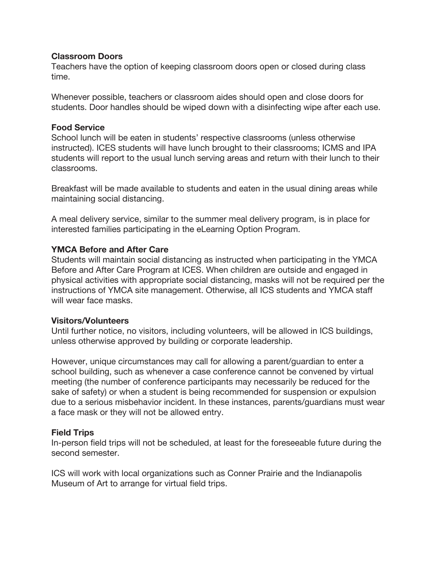#### **Classroom Doors**

Teachers have the option of keeping classroom doors open or closed during class time.

Whenever possible, teachers or classroom aides should open and close doors for students. Door handles should be wiped down with a disinfecting wipe after each use.

#### **Food Service**

School lunch will be eaten in students' respective classrooms (unless otherwise instructed). ICES students will have lunch brought to their classrooms; ICMS and IPA students will report to the usual lunch serving areas and return with their lunch to their classrooms.

Breakfast will be made available to students and eaten in the usual dining areas while maintaining social distancing.

A meal delivery service, similar to the summer meal delivery program, is in place for interested families participating in the eLearning Option Program.

#### **YMCA Before and After Care**

Students will maintain social distancing as instructed when participating in the YMCA Before and After Care Program at ICES. When children are outside and engaged in physical activities with appropriate social distancing, masks will not be required per the instructions of YMCA site management. Otherwise, all ICS students and YMCA staff will wear face masks.

#### **Visitors/Volunteers**

Until further notice, no visitors, including volunteers, will be allowed in ICS buildings, unless otherwise approved by building or corporate leadership.

However, unique circumstances may call for allowing a parent/guardian to enter a school building, such as whenever a case conference cannot be convened by virtual meeting (the number of conference participants may necessarily be reduced for the sake of safety) or when a student is being recommended for suspension or expulsion due to a serious misbehavior incident. In these instances, parents/guardians must wear a face mask or they will not be allowed entry.

# **Field Trips**

In-person field trips will not be scheduled, at least for the foreseeable future during the second semester.

ICS will work with local organizations such as Conner Prairie and the Indianapolis Museum of Art to arrange for virtual field trips.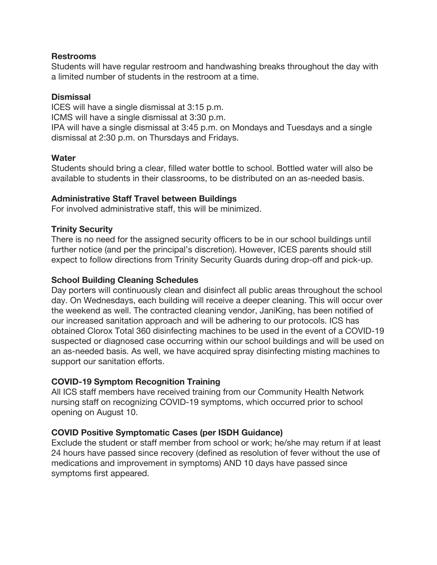#### **Restrooms**

Students will have regular restroom and handwashing breaks throughout the day with a limited number of students in the restroom at a time.

## **Dismissal**

ICES will have a single dismissal at 3:15 p.m.

ICMS will have a single dismissal at 3:30 p.m.

IPA will have a single dismissal at 3:45 p.m. on Mondays and Tuesdays and a single dismissal at 2:30 p.m. on Thursdays and Fridays.

# **Water**

Students should bring a clear, filled water bottle to school. Bottled water will also be available to students in their classrooms, to be distributed on an as-needed basis.

## **Administrative Staff Travel between Buildings**

For involved administrative staff, this will be minimized.

# **Trinity Security**

There is no need for the assigned security officers to be in our school buildings until further notice (and per the principal's discretion). However, ICES parents should still expect to follow directions from Trinity Security Guards during drop-off and pick-up.

## **School Building Cleaning Schedules**

Day porters will continuously clean and disinfect all public areas throughout the school day. On Wednesdays, each building will receive a deeper cleaning. This will occur over the weekend as well. The contracted cleaning vendor, JaniKing, has been notified of our increased sanitation approach and will be adhering to our protocols. ICS has obtained Clorox Total 360 disinfecting machines to be used in the event of a COVID-19 suspected or diagnosed case occurring within our school buildings and will be used on an as-needed basis. As well, we have acquired spray disinfecting misting machines to support our sanitation efforts.

# **COVID-19 Symptom Recognition Training**

All ICS staff members have received training from our Community Health Network nursing staff on recognizing COVID-19 symptoms, which occurred prior to school opening on August 10.

# **COVID Positive Symptomatic Cases (per ISDH Guidance)**

Exclude the student or staff member from school or work; he/she may return if at least 24 hours have passed since recovery (defined as resolution of fever without the use of medications and improvement in symptoms) AND 10 days have passed since symptoms first appeared.